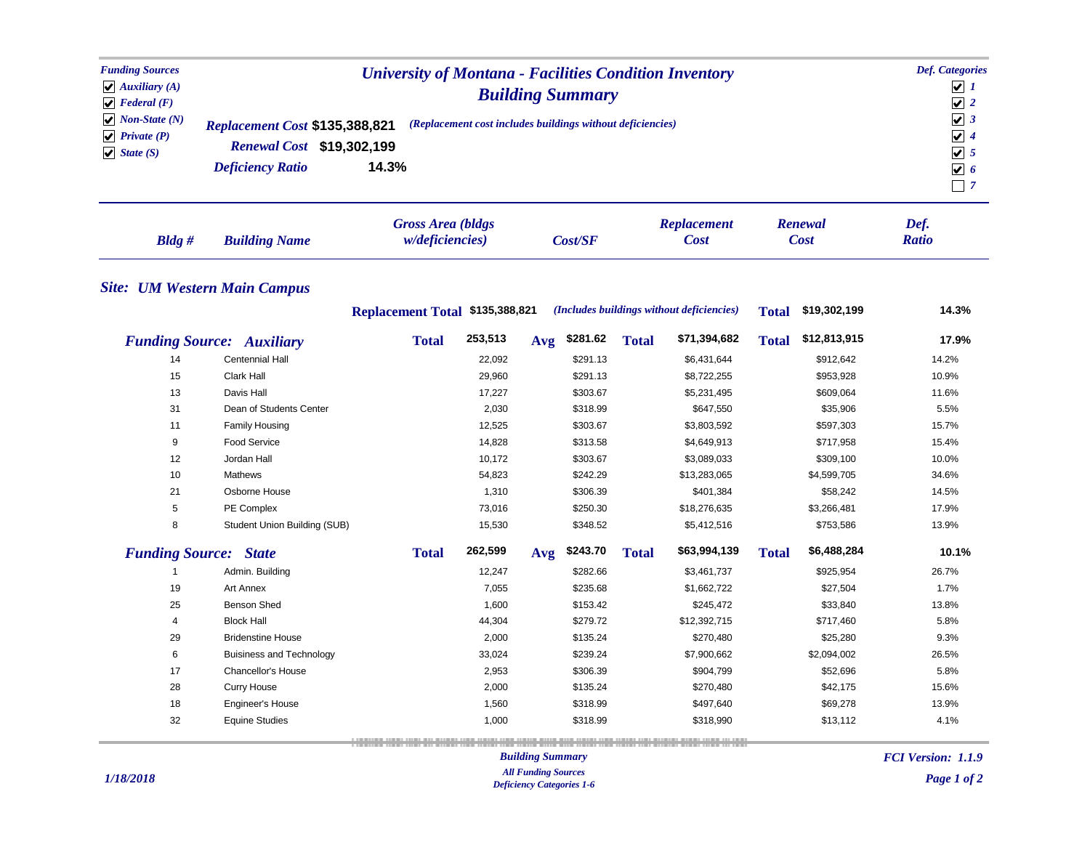| <b>Funding Sources</b><br>$\blacktriangleright$ Auxiliary (A)<br>$\blacktriangleright$ Federal (F)<br>$\vert \mathbf{v} \vert$ Non-State (N)<br>$\blacktriangleright$ Private (P)<br>$\bigvee$ State (S) | <b>University of Montana - Facilities Condition Inventory</b><br><b>Building Summary</b><br>(Replacement cost includes buildings without deficiencies)<br>Replacement Cost \$135,388,821<br>Renewal Cost \$19,302,199<br>14.3%<br><b>Deficiency Ratio</b> |                                 |                                                     |     |          |              |                                           |              |                        | <b>Def.</b> Categories<br>$\sqrt{1}$<br>$\sqrt{2}$<br>$\sqrt{3}$<br>$\sqrt{4}$<br>$\sqrt{5}$<br>$\overline{\mathbf{v}}$ 6<br>$\Box$ 7 |  |
|----------------------------------------------------------------------------------------------------------------------------------------------------------------------------------------------------------|-----------------------------------------------------------------------------------------------------------------------------------------------------------------------------------------------------------------------------------------------------------|---------------------------------|-----------------------------------------------------|-----|----------|--------------|-------------------------------------------|--------------|------------------------|---------------------------------------------------------------------------------------------------------------------------------------|--|
| $B$ ldg#                                                                                                                                                                                                 | <b>Building Name</b>                                                                                                                                                                                                                                      |                                 | <b>Gross Area (bldgs</b><br><i>w/deficiencies</i> ) |     | Cost/SF  |              | <b>Replacement</b><br><b>Cost</b>         |              | Renewal<br><b>Cost</b> | Def.<br><b>Ratio</b>                                                                                                                  |  |
|                                                                                                                                                                                                          | <b>Site: UM Western Main Campus</b>                                                                                                                                                                                                                       |                                 |                                                     |     |          |              |                                           |              |                        |                                                                                                                                       |  |
|                                                                                                                                                                                                          |                                                                                                                                                                                                                                                           | Replacement Total \$135,388,821 |                                                     |     |          |              | (Includes buildings without deficiencies) | <b>Total</b> | \$19,302,199           | 14.3%                                                                                                                                 |  |
|                                                                                                                                                                                                          | <b>Funding Source: Auxiliary</b>                                                                                                                                                                                                                          | <b>Total</b>                    | 253,513                                             | Avg | \$281.62 | <b>Total</b> | \$71,394,682                              | <b>Total</b> | \$12,813,915           | 17.9%                                                                                                                                 |  |
| 14                                                                                                                                                                                                       | Centennial Hall                                                                                                                                                                                                                                           |                                 | 22,092                                              |     | \$291.13 |              | \$6,431,644                               |              | \$912,642              | 14.2%                                                                                                                                 |  |
| 15                                                                                                                                                                                                       | Clark Hall                                                                                                                                                                                                                                                |                                 | 29,960                                              |     | \$291.13 |              | \$8,722,255                               |              | \$953,928              | 10.9%                                                                                                                                 |  |
| 13                                                                                                                                                                                                       | Davis Hall                                                                                                                                                                                                                                                |                                 | 17,227                                              |     | \$303.67 |              | \$5,231,495                               |              | \$609,064              | 11.6%                                                                                                                                 |  |
| 31                                                                                                                                                                                                       | Dean of Students Center                                                                                                                                                                                                                                   |                                 | 2,030                                               |     | \$318.99 |              | \$647,550                                 |              | \$35,906               | 5.5%                                                                                                                                  |  |
| 11                                                                                                                                                                                                       | Family Housing                                                                                                                                                                                                                                            |                                 | 12,525                                              |     | \$303.67 |              | \$3,803,592                               |              | \$597,303              | 15.7%                                                                                                                                 |  |
| 9                                                                                                                                                                                                        | <b>Food Service</b>                                                                                                                                                                                                                                       |                                 | 14,828                                              |     | \$313.58 |              | \$4,649,913                               |              | \$717,958              | 15.4%                                                                                                                                 |  |
| 12                                                                                                                                                                                                       | Jordan Hall                                                                                                                                                                                                                                               |                                 | 10,172                                              |     | \$303.67 |              | \$3,089,033                               |              | \$309,100              | 10.0%                                                                                                                                 |  |
| 10                                                                                                                                                                                                       | <b>Mathews</b>                                                                                                                                                                                                                                            |                                 | 54,823                                              |     | \$242.29 |              | \$13,283,065                              |              | \$4,599,705            | 34.6%                                                                                                                                 |  |
| 21                                                                                                                                                                                                       | Osborne House                                                                                                                                                                                                                                             |                                 | 1,310                                               |     | \$306.39 |              | \$401,384                                 |              | \$58,242               | 14.5%                                                                                                                                 |  |
| 5                                                                                                                                                                                                        | PE Complex                                                                                                                                                                                                                                                |                                 | 73,016                                              |     | \$250.30 |              | \$18,276,635                              |              | \$3,266,481            | 17.9%                                                                                                                                 |  |
| 8                                                                                                                                                                                                        | Student Union Building (SUB)                                                                                                                                                                                                                              |                                 | 15,530                                              |     | \$348.52 |              | \$5,412,516                               |              | \$753,586              | 13.9%                                                                                                                                 |  |
| <b>Funding Source:</b><br><b>State</b>                                                                                                                                                                   |                                                                                                                                                                                                                                                           | <b>Total</b>                    | 262,599                                             | Avg | \$243.70 | <b>Total</b> | \$63,994,139                              | <b>Total</b> | \$6,488,284            | 10.1%                                                                                                                                 |  |
| -1                                                                                                                                                                                                       | Admin. Building                                                                                                                                                                                                                                           |                                 | 12,247                                              |     | \$282.66 |              | \$3,461,737                               |              | \$925,954              | 26.7%                                                                                                                                 |  |
| 19                                                                                                                                                                                                       | Art Annex                                                                                                                                                                                                                                                 |                                 | 7,055                                               |     | \$235.68 |              | \$1,662,722                               |              | \$27,504               | 1.7%                                                                                                                                  |  |
| 25                                                                                                                                                                                                       | <b>Benson Shed</b>                                                                                                                                                                                                                                        |                                 | 1,600                                               |     | \$153.42 |              | \$245,472                                 |              | \$33,840               | 13.8%                                                                                                                                 |  |
| $\overline{4}$                                                                                                                                                                                           | <b>Block Hall</b>                                                                                                                                                                                                                                         |                                 | 44,304                                              |     | \$279.72 |              | \$12,392,715                              |              | \$717,460              | 5.8%                                                                                                                                  |  |
| 29                                                                                                                                                                                                       | <b>Bridenstine House</b>                                                                                                                                                                                                                                  |                                 | 2,000                                               |     | \$135.24 |              | \$270,480                                 |              | \$25,280               | 9.3%                                                                                                                                  |  |
| 6                                                                                                                                                                                                        | <b>Buisiness and Technology</b>                                                                                                                                                                                                                           |                                 | 33,024                                              |     | \$239.24 |              | \$7,900,662                               |              | \$2,094,002            | 26.5%                                                                                                                                 |  |
| 17                                                                                                                                                                                                       | Chancellor's House                                                                                                                                                                                                                                        |                                 | 2,953                                               |     | \$306.39 |              | \$904,799                                 |              | \$52,696               | 5.8%                                                                                                                                  |  |
| 28                                                                                                                                                                                                       | <b>Curry House</b>                                                                                                                                                                                                                                        |                                 | 2,000                                               |     | \$135.24 |              | \$270,480                                 |              | \$42,175               | 15.6%                                                                                                                                 |  |
| 18                                                                                                                                                                                                       | Engineer's House                                                                                                                                                                                                                                          |                                 | 1,560                                               |     | \$318.99 |              | \$497,640                                 |              | \$69,278               | 13.9%                                                                                                                                 |  |
| 32                                                                                                                                                                                                       | <b>Equine Studies</b>                                                                                                                                                                                                                                     |                                 | 1,000                                               |     | \$318.99 |              | \$318,990                                 |              | \$13,112               | 4.1%                                                                                                                                  |  |
|                                                                                                                                                                                                          |                                                                                                                                                                                                                                                           |                                 |                                                     |     |          |              |                                           |              |                        |                                                                                                                                       |  |

## *Building Summary All Funding Sources Deficiency Categories 1-6*